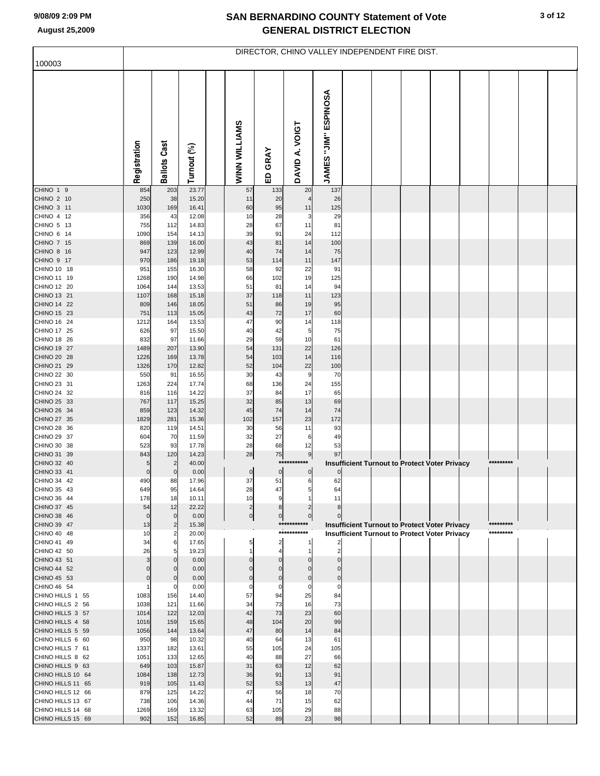## **SAN BERNARDINO COUNTY Statement of Vote August 25,2009 GENERAL DISTRICT ELECTION**

| 100003                                 | DIRECTOR, CHINO VALLEY INDEPENDENT FIRE DIST. |                     |                |  |                    |                     |                    |                      |  |  |                                                      |  |  |           |  |
|----------------------------------------|-----------------------------------------------|---------------------|----------------|--|--------------------|---------------------|--------------------|----------------------|--|--|------------------------------------------------------|--|--|-----------|--|
|                                        |                                               |                     |                |  |                    |                     |                    |                      |  |  |                                                      |  |  |           |  |
|                                        | Registration                                  | <b>Ballots Cast</b> | Turnout (%)    |  | WINN WILLIAMS      | ED GRAY             | DAVID A. VOIGT     | JAMES "JIM" ESPINOSA |  |  |                                                      |  |  |           |  |
| CHINO 1 9                              | 854                                           | 203                 | 23.77          |  | 57                 | 133                 | 20                 | 137                  |  |  |                                                      |  |  |           |  |
| CHINO 2 10<br>CHINO 3 11               | 250<br>1030                                   | 38<br>169           | 15.20<br>16.41 |  | 11<br>60           | 20<br>95            | 11                 | 26<br>125            |  |  |                                                      |  |  |           |  |
| CHINO 4 12                             | 356                                           | 43                  | 12.08          |  | 10                 | 28                  | 3                  | 29                   |  |  |                                                      |  |  |           |  |
| CHINO 5 13                             | 755                                           | 112                 | 14.83          |  | 28                 | 67                  | 11                 | 81                   |  |  |                                                      |  |  |           |  |
| CHINO 6 14                             | 1090                                          | 154                 | 14.13          |  | 39                 | 91                  | 24                 | 112                  |  |  |                                                      |  |  |           |  |
| CHINO 7 15<br>CHINO 8 16               | 869<br>947                                    | 139<br>123          | 16.00<br>12.99 |  | 43<br>40           | 81<br>74            | 14<br>14           | 100<br>75            |  |  |                                                      |  |  |           |  |
| CHINO 9 17                             | 970                                           | 186                 | 19.18          |  | 53                 | 114                 | 11                 | 147                  |  |  |                                                      |  |  |           |  |
| CHINO 10 18                            | 951                                           | 155                 | 16.30          |  | 58                 | 92                  | 22                 | 91                   |  |  |                                                      |  |  |           |  |
| CHINO 11 19                            | 1268                                          | 190                 | 14.98          |  | 66                 | 102                 | 19                 | 125                  |  |  |                                                      |  |  |           |  |
| CHINO 12 20<br>CHINO 13 21             | 1064                                          | 144                 | 13.53          |  | 51                 | 81                  | 14<br>11           | 94                   |  |  |                                                      |  |  |           |  |
| CHINO 14 22                            | 1107<br>809                                   | 168<br>146          | 15.18<br>18.05 |  | 37<br>51           | 118<br>86           | 19                 | 123<br>95            |  |  |                                                      |  |  |           |  |
| CHINO 15 23                            | 751                                           | 113                 | 15.05          |  | 43                 | 72                  | 17                 | 60                   |  |  |                                                      |  |  |           |  |
| CHINO 16 24                            | 1212                                          | 164                 | 13.53          |  | 47                 | 90                  | 14                 | 118                  |  |  |                                                      |  |  |           |  |
| CHINO 17 25                            | 626                                           | 97                  | 15.50          |  | 40                 | 42                  | 5                  | 75                   |  |  |                                                      |  |  |           |  |
| CHINO 18 26<br>CHINO 19 27             | 832<br>1489                                   | 97<br>207           | 11.66<br>13.90 |  | 29<br>54           | 59<br>131           | 10<br>22           | 61<br>126            |  |  |                                                      |  |  |           |  |
| CHINO 20 28                            | 1226                                          | 169                 | 13.78          |  | 54                 | 103                 | 14                 | 116                  |  |  |                                                      |  |  |           |  |
| CHINO 21 29                            | 1326                                          | 170                 | 12.82          |  | 52                 | 104                 | 22                 | 100                  |  |  |                                                      |  |  |           |  |
| CHINO 22 30                            | 550                                           | 91                  | 16.55          |  | 30                 | 43                  | 9                  | 70                   |  |  |                                                      |  |  |           |  |
| CHINO 23 31                            | 1263                                          | 224                 | 17.74          |  | 68                 | 136                 | 24                 | 155                  |  |  |                                                      |  |  |           |  |
| CHINO 24 32<br>CHINO 25 33             | 816<br>767                                    | 116<br>117          | 14.22<br>15.25 |  | 37<br>32           | 84<br>85            | 17<br>13           | 65<br>69             |  |  |                                                      |  |  |           |  |
| CHINO 26 34                            | 859                                           | 123                 | 14.32          |  | 45                 | 74                  | 14                 | 74                   |  |  |                                                      |  |  |           |  |
| CHINO 27 35                            | 1829                                          | 281                 | 15.36          |  | 102                | 157                 | 23                 | 172                  |  |  |                                                      |  |  |           |  |
| CHINO 28 36                            | 820                                           | 119                 | 14.51          |  | 30                 | 56                  | 11                 | 93                   |  |  |                                                      |  |  |           |  |
| CHINO 29 37                            | 604                                           | 70                  | 11.59          |  | 32                 | 27                  | 6                  | 49                   |  |  |                                                      |  |  |           |  |
| CHINO 30 38<br>CHINO 31 39             | 523<br>843                                    | 93<br>120           | 17.78<br>14.23 |  | 28<br>28           | 68<br>${\bf 75}$    | 12<br>9            | 53<br>97             |  |  |                                                      |  |  |           |  |
| CHINO 32 40                            | 5                                             | $\overline{2}$      | 40.00          |  |                    |                     | ***********        |                      |  |  | Insufficient Turnout to Protect Voter Privacy        |  |  | ********* |  |
| CHINO 33 41                            | $\pmb{0}$                                     | $\mathbf 0$         | 0.00           |  | $\boldsymbol{0}$   | $\overline{0}$      | $\overline{0}$     | $\overline{0}$       |  |  |                                                      |  |  |           |  |
| CHINO 34 42                            | 490                                           | 88                  | 17.96          |  | 37                 | 51                  | 6                  | 62                   |  |  |                                                      |  |  |           |  |
| CHINO 35 43<br>CHINO 36 44             | 649                                           | 95                  | 14.64          |  | 28<br>10           | 47<br>9             |                    | 64<br>11             |  |  |                                                      |  |  |           |  |
| CHINO 37 45                            | 178<br>54                                     | 18<br>12            | 10.11<br>22.22 |  | $\overline{c}$     | 8                   |                    | 8 <sup>1</sup>       |  |  |                                                      |  |  |           |  |
| CHINO 38 46                            | $\mathbf 0$                                   | $\mathbf 0$         | 0.00           |  | $\pmb{0}$          | $\overline{0}$      | $\mathbf 0$        | $\overline{0}$       |  |  |                                                      |  |  |           |  |
| CHINO 39 47                            | 13                                            | $\overline{2}$      | 15.38          |  |                    |                     | ***********        |                      |  |  | <b>Insufficient Turnout to Protect Voter Privacy</b> |  |  | ********* |  |
| CHINO 40 48                            | 10                                            | $\overline{2}$      | 20.00          |  |                    |                     | ***********        |                      |  |  | <b>Insufficient Turnout to Protect Voter Privacy</b> |  |  | ********* |  |
| CHINO 41 49<br>CHINO 42 50             | 34<br>26                                      | 6<br>5              | 17.65<br>19.23 |  | 5                  | 2<br>$\overline{4}$ | -1<br>$\mathbf{1}$ | $\overline{2}$       |  |  |                                                      |  |  |           |  |
| CHINO 43 51                            | 3                                             | $\Omega$            | 0.00           |  |                    | $\mathbf{0}$        | $\Omega$           | $\Omega$             |  |  |                                                      |  |  |           |  |
| CHINO 44 52                            | $\Omega$                                      | $\mathbf 0$         | 0.00           |  |                    | $\mathbf 0$         | $\Omega$           | $\overline{0}$       |  |  |                                                      |  |  |           |  |
| CHINO 45 53                            | $\Omega$                                      | $\mathbf 0$         | 0.00           |  |                    | $\Omega$            | $\Omega$           | $\overline{0}$       |  |  |                                                      |  |  |           |  |
| CHINO 46 54<br>CHINO HILLS 1 55        | 1083                                          | 0<br>156            | 0.00<br>14.40  |  | $\mathsf{C}$<br>57 | $\mathbf 0$<br>94   | $\mathbf 0$<br>25  | $\circ$<br>84        |  |  |                                                      |  |  |           |  |
| CHINO HILLS 2 56                       | 1038                                          | 121                 | 11.66          |  | 34                 | 73                  | 16                 | 73                   |  |  |                                                      |  |  |           |  |
| CHINO HILLS 3 57                       | 1014                                          | 122                 | 12.03          |  | 42                 | 73                  | 23                 | 60                   |  |  |                                                      |  |  |           |  |
| CHINO HILLS 4 58                       | 1016                                          | 159                 | 15.65          |  | 48                 | 104                 | 20                 | 99                   |  |  |                                                      |  |  |           |  |
| CHINO HILLS 5 59                       | 1056                                          | 144                 | 13.64          |  | 47                 | 80                  | 14                 | 84                   |  |  |                                                      |  |  |           |  |
| CHINO HILLS 6 60<br>CHINO HILLS 7 61   | 950<br>1337                                   | 98<br>182           | 10.32<br>13.61 |  | 40<br>55           | 64<br>105           | 13<br>24           | 61<br>105            |  |  |                                                      |  |  |           |  |
| CHINO HILLS 8 62                       | 1051                                          | 133                 | 12.65          |  | 40                 | 88                  | 27                 | 66                   |  |  |                                                      |  |  |           |  |
| CHINO HILLS 9 63                       | 649                                           | 103                 | 15.87          |  | 31                 | 63                  | 12                 | 62                   |  |  |                                                      |  |  |           |  |
| CHINO HILLS 10 64                      | 1084                                          | 138                 | 12.73          |  | 36                 | 91                  | 13                 | 91                   |  |  |                                                      |  |  |           |  |
| CHINO HILLS 11 65                      | 919                                           | 105                 | 11.43          |  | 52                 | 53                  | 13                 | 47                   |  |  |                                                      |  |  |           |  |
| CHINO HILLS 12 66<br>CHINO HILLS 13 67 | 879<br>738                                    | 125<br>106          | 14.22<br>14.36 |  | 47<br>44           | 56<br>71            | 18<br>15           | 70<br>62             |  |  |                                                      |  |  |           |  |
| CHINO HILLS 14 68                      | 1269                                          | 169                 | 13.32          |  | 63                 | 105                 | 29                 | 88                   |  |  |                                                      |  |  |           |  |
| CHINO HILLS 15 69                      | 902                                           | 152                 | 16.85          |  | 52                 | 89                  | 23                 | 98                   |  |  |                                                      |  |  |           |  |